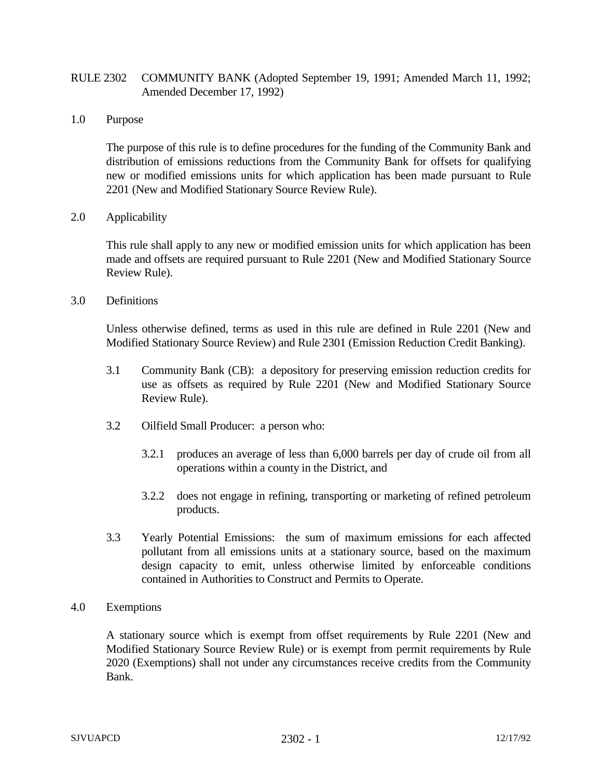## RULE 2302 COMMUNITY BANK (Adopted September 19, 1991; Amended March 11, 1992; Amended December 17, 1992)

1.0 Purpose

The purpose of this rule is to define procedures for the funding of the Community Bank and distribution of emissions reductions from the Community Bank for offsets for qualifying new or modified emissions units for which application has been made pursuant to Rule 2201 (New and Modified Stationary Source Review Rule).

2.0 Applicability

This rule shall apply to any new or modified emission units for which application has been made and offsets are required pursuant to Rule 2201 (New and Modified Stationary Source Review Rule).

3.0 Definitions

Unless otherwise defined, terms as used in this rule are defined in Rule 2201 (New and Modified Stationary Source Review) and Rule 2301 (Emission Reduction Credit Banking).

- 3.1 Community Bank (CB): a depository for preserving emission reduction credits for use as offsets as required by Rule 2201 (New and Modified Stationary Source Review Rule).
- 3.2 Oilfield Small Producer: a person who:
	- 3.2.1 produces an average of less than 6,000 barrels per day of crude oil from all operations within a county in the District, and
	- 3.2.2 does not engage in refining, transporting or marketing of refined petroleum products.
- 3.3 Yearly Potential Emissions: the sum of maximum emissions for each affected pollutant from all emissions units at a stationary source, based on the maximum design capacity to emit, unless otherwise limited by enforceable conditions contained in Authorities to Construct and Permits to Operate.
- 4.0 Exemptions

A stationary source which is exempt from offset requirements by Rule 2201 (New and Modified Stationary Source Review Rule) or is exempt from permit requirements by Rule 2020 (Exemptions) shall not under any circumstances receive credits from the Community Bank.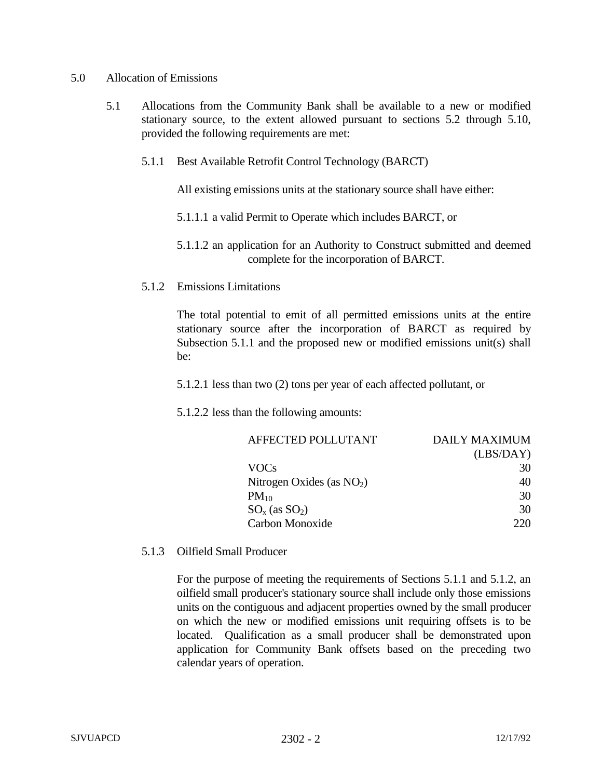## 5.0 Allocation of Emissions

- 5.1 Allocations from the Community Bank shall be available to a new or modified stationary source, to the extent allowed pursuant to sections 5.2 through 5.10, provided the following requirements are met:
	- 5.1.1 Best Available Retrofit Control Technology (BARCT)

All existing emissions units at the stationary source shall have either:

- 5.1.1.1 a valid Permit to Operate which includes BARCT, or
- 5.1.1.2 an application for an Authority to Construct submitted and deemed complete for the incorporation of BARCT.
- 5.1.2 Emissions Limitations

The total potential to emit of all permitted emissions units at the entire stationary source after the incorporation of BARCT as required by Subsection 5.1.1 and the proposed new or modified emissions unit(s) shall be:

5.1.2.1 less than two (2) tons per year of each affected pollutant, or

5.1.2.2 less than the following amounts:

| AFFECTED POLLUTANT          | DAILY MAXIMUM |
|-----------------------------|---------------|
|                             | (LBS/DAY)     |
| VOCs                        | 30            |
| Nitrogen Oxides (as $NO2$ ) | 40            |
| $PM_{10}$                   | 30            |
| $SO_x$ (as $SO_2$ )         | 30            |
| Carbon Monoxide             |               |

5.1.3 Oilfield Small Producer

For the purpose of meeting the requirements of Sections 5.1.1 and 5.1.2, an oilfield small producer's stationary source shall include only those emissions units on the contiguous and adjacent properties owned by the small producer on which the new or modified emissions unit requiring offsets is to be located. Qualification as a small producer shall be demonstrated upon application for Community Bank offsets based on the preceding two calendar years of operation.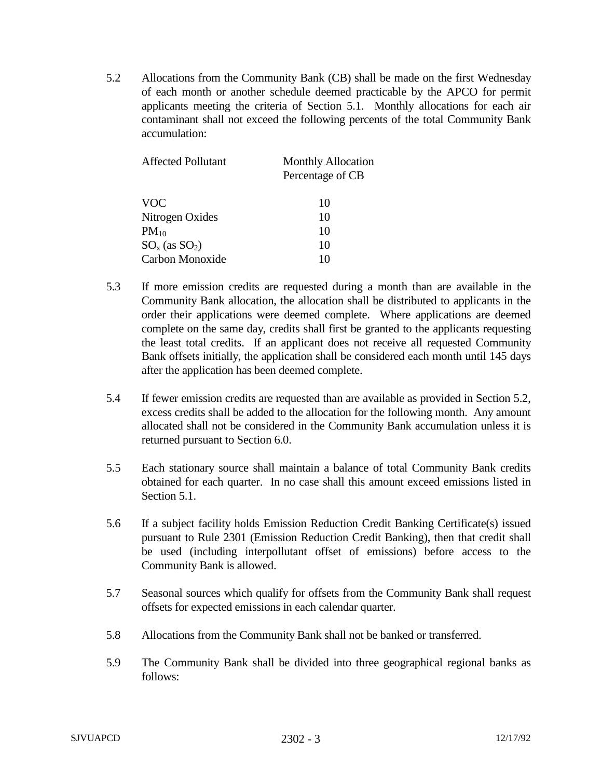5.2 Allocations from the Community Bank (CB) shall be made on the first Wednesday of each month or another schedule deemed practicable by the APCO for permit applicants meeting the criteria of Section 5.1. Monthly allocations for each air contaminant shall not exceed the following percents of the total Community Bank accumulation:

| Affected Pollutant  | <b>Monthly Allocation</b> |
|---------------------|---------------------------|
|                     | Percentage of CB          |
| <b>VOC</b>          | 10                        |
| Nitrogen Oxides     | 10                        |
| $PM_{10}$           | 10                        |
| $SO_x$ (as $SO_2$ ) | 10                        |
| Carbon Monoxide     | 10                        |

- 5.3 If more emission credits are requested during a month than are available in the Community Bank allocation, the allocation shall be distributed to applicants in the order their applications were deemed complete. Where applications are deemed complete on the same day, credits shall first be granted to the applicants requesting the least total credits. If an applicant does not receive all requested Community Bank offsets initially, the application shall be considered each month until 145 days after the application has been deemed complete.
- 5.4 If fewer emission credits are requested than are available as provided in Section 5.2, excess credits shall be added to the allocation for the following month. Any amount allocated shall not be considered in the Community Bank accumulation unless it is returned pursuant to Section 6.0.
- 5.5 Each stationary source shall maintain a balance of total Community Bank credits obtained for each quarter. In no case shall this amount exceed emissions listed in Section 5.1.
- 5.6 If a subject facility holds Emission Reduction Credit Banking Certificate(s) issued pursuant to Rule 2301 (Emission Reduction Credit Banking), then that credit shall be used (including interpollutant offset of emissions) before access to the Community Bank is allowed.
- 5.7 Seasonal sources which qualify for offsets from the Community Bank shall request offsets for expected emissions in each calendar quarter.
- 5.8 Allocations from the Community Bank shall not be banked or transferred.
- 5.9 The Community Bank shall be divided into three geographical regional banks as follows: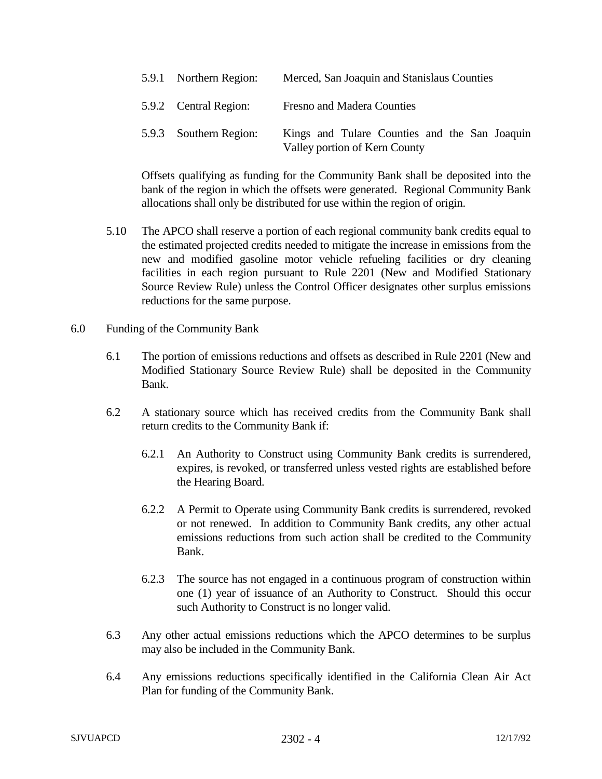| 5.9.1 Northern Region: | Merced, San Joaquin and Stanislaus Counties                                    |
|------------------------|--------------------------------------------------------------------------------|
| 5.9.2 Central Region:  | Fresno and Madera Counties                                                     |
| 5.9.3 Southern Region: | Kings and Tulare Counties and the San Joaquin<br>Valley portion of Kern County |

Offsets qualifying as funding for the Community Bank shall be deposited into the bank of the region in which the offsets were generated. Regional Community Bank allocations shall only be distributed for use within the region of origin.

- 5.10 The APCO shall reserve a portion of each regional community bank credits equal to the estimated projected credits needed to mitigate the increase in emissions from the new and modified gasoline motor vehicle refueling facilities or dry cleaning facilities in each region pursuant to Rule 2201 (New and Modified Stationary Source Review Rule) unless the Control Officer designates other surplus emissions reductions for the same purpose.
- 6.0 Funding of the Community Bank
	- 6.1 The portion of emissions reductions and offsets as described in Rule 2201 (New and Modified Stationary Source Review Rule) shall be deposited in the Community Bank.
	- 6.2 A stationary source which has received credits from the Community Bank shall return credits to the Community Bank if:
		- 6.2.1 An Authority to Construct using Community Bank credits is surrendered, expires, is revoked, or transferred unless vested rights are established before the Hearing Board.
		- 6.2.2 A Permit to Operate using Community Bank credits is surrendered, revoked or not renewed. In addition to Community Bank credits, any other actual emissions reductions from such action shall be credited to the Community Bank.
		- 6.2.3 The source has not engaged in a continuous program of construction within one (1) year of issuance of an Authority to Construct. Should this occur such Authority to Construct is no longer valid.
	- 6.3 Any other actual emissions reductions which the APCO determines to be surplus may also be included in the Community Bank.
	- 6.4 Any emissions reductions specifically identified in the California Clean Air Act Plan for funding of the Community Bank.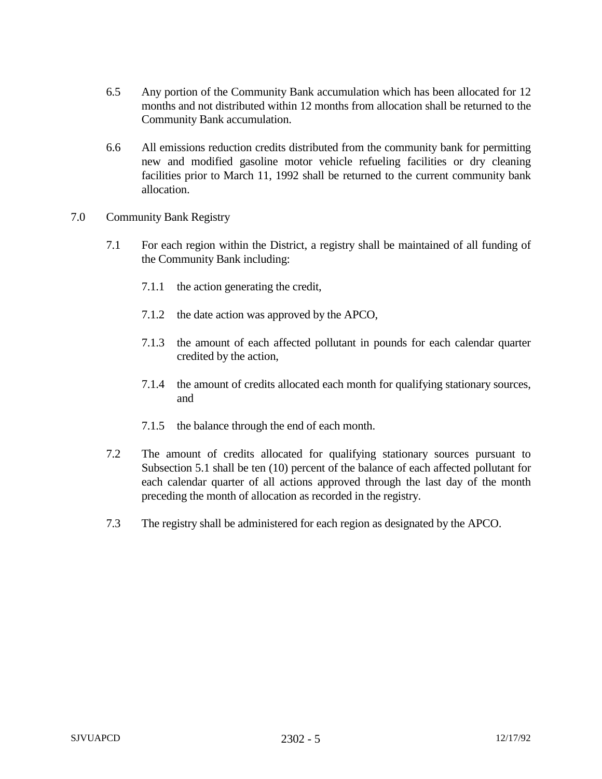- 6.5 Any portion of the Community Bank accumulation which has been allocated for 12 months and not distributed within 12 months from allocation shall be returned to the Community Bank accumulation.
- 6.6 All emissions reduction credits distributed from the community bank for permitting new and modified gasoline motor vehicle refueling facilities or dry cleaning facilities prior to March 11, 1992 shall be returned to the current community bank allocation.
- 7.0 Community Bank Registry
	- 7.1 For each region within the District, a registry shall be maintained of all funding of the Community Bank including:
		- 7.1.1 the action generating the credit,
		- 7.1.2 the date action was approved by the APCO,
		- 7.1.3 the amount of each affected pollutant in pounds for each calendar quarter credited by the action,
		- 7.1.4 the amount of credits allocated each month for qualifying stationary sources, and
		- 7.1.5 the balance through the end of each month.
	- 7.2 The amount of credits allocated for qualifying stationary sources pursuant to Subsection 5.1 shall be ten (10) percent of the balance of each affected pollutant for each calendar quarter of all actions approved through the last day of the month preceding the month of allocation as recorded in the registry.
	- 7.3 The registry shall be administered for each region as designated by the APCO.